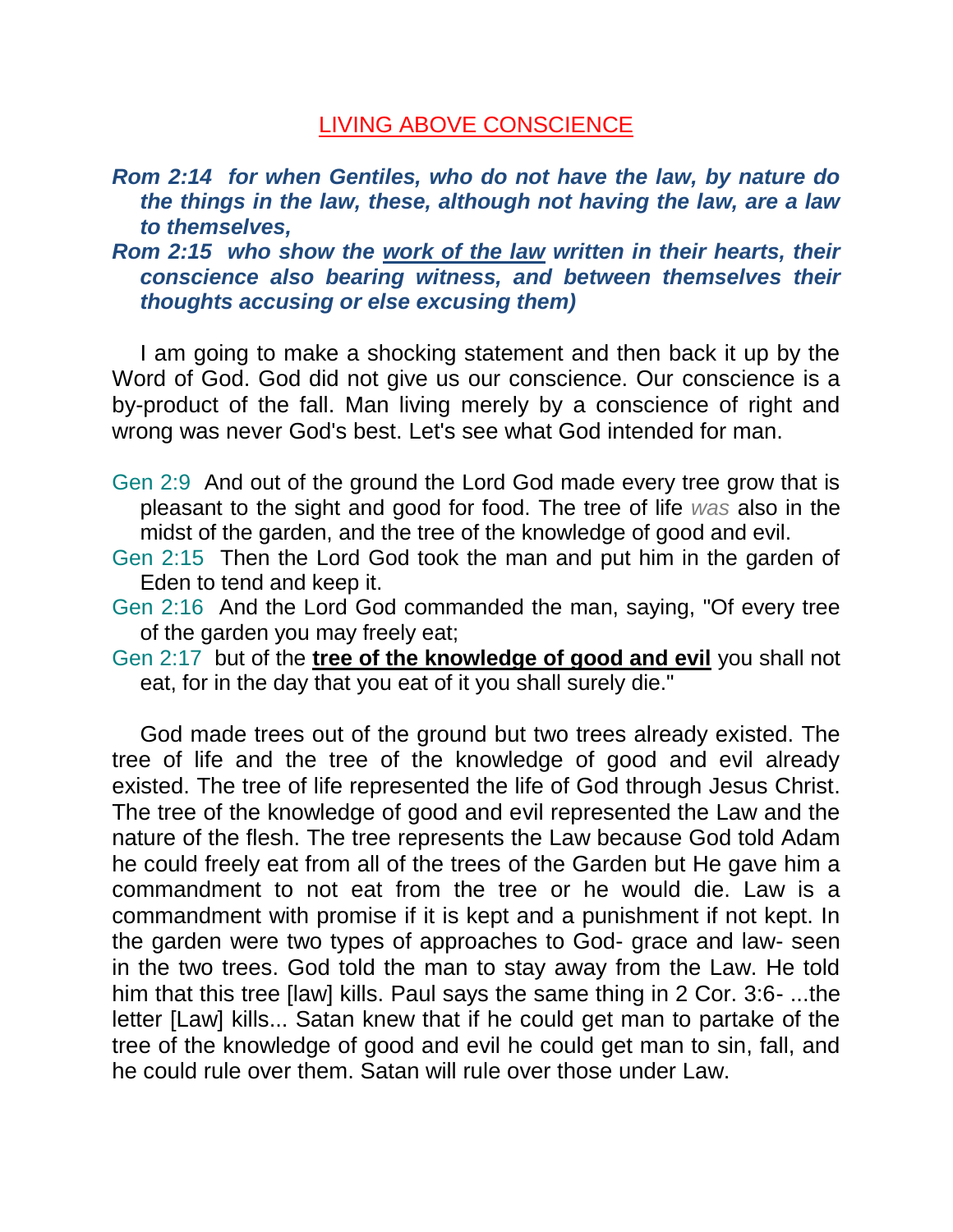## LIVING ABOVE CONSCIENCE

- *Rom 2:14 for when Gentiles, who do not have the law, by nature do the things in the law, these, although not having the law, are a law to themselves,*
- *Rom 2:15 who show the work of the law written in their hearts, their conscience also bearing witness, and between themselves their thoughts accusing or else excusing them)*

I am going to make a shocking statement and then back it up by the Word of God. God did not give us our conscience. Our conscience is a by-product of the fall. Man living merely by a conscience of right and wrong was never God's best. Let's see what God intended for man.

- Gen 2:9 And out of the ground the Lord God made every tree grow that is pleasant to the sight and good for food. The tree of life *was* also in the midst of the garden, and the tree of the knowledge of good and evil.
- Gen 2:15 Then the Lord God took the man and put him in the garden of Eden to tend and keep it.
- Gen 2:16 And the Lord God commanded the man, saying, "Of every tree of the garden you may freely eat;
- Gen 2:17 but of the **tree of the knowledge of good and evil** you shall not eat, for in the day that you eat of it you shall surely die."

God made trees out of the ground but two trees already existed. The tree of life and the tree of the knowledge of good and evil already existed. The tree of life represented the life of God through Jesus Christ. The tree of the knowledge of good and evil represented the Law and the nature of the flesh. The tree represents the Law because God told Adam he could freely eat from all of the trees of the Garden but He gave him a commandment to not eat from the tree or he would die. Law is a commandment with promise if it is kept and a punishment if not kept. In the garden were two types of approaches to God- grace and law- seen in the two trees. God told the man to stay away from the Law. He told him that this tree [law] kills. Paul says the same thing in 2 Cor. 3:6- ...the letter [Law] kills... Satan knew that if he could get man to partake of the tree of the knowledge of good and evil he could get man to sin, fall, and he could rule over them. Satan will rule over those under Law.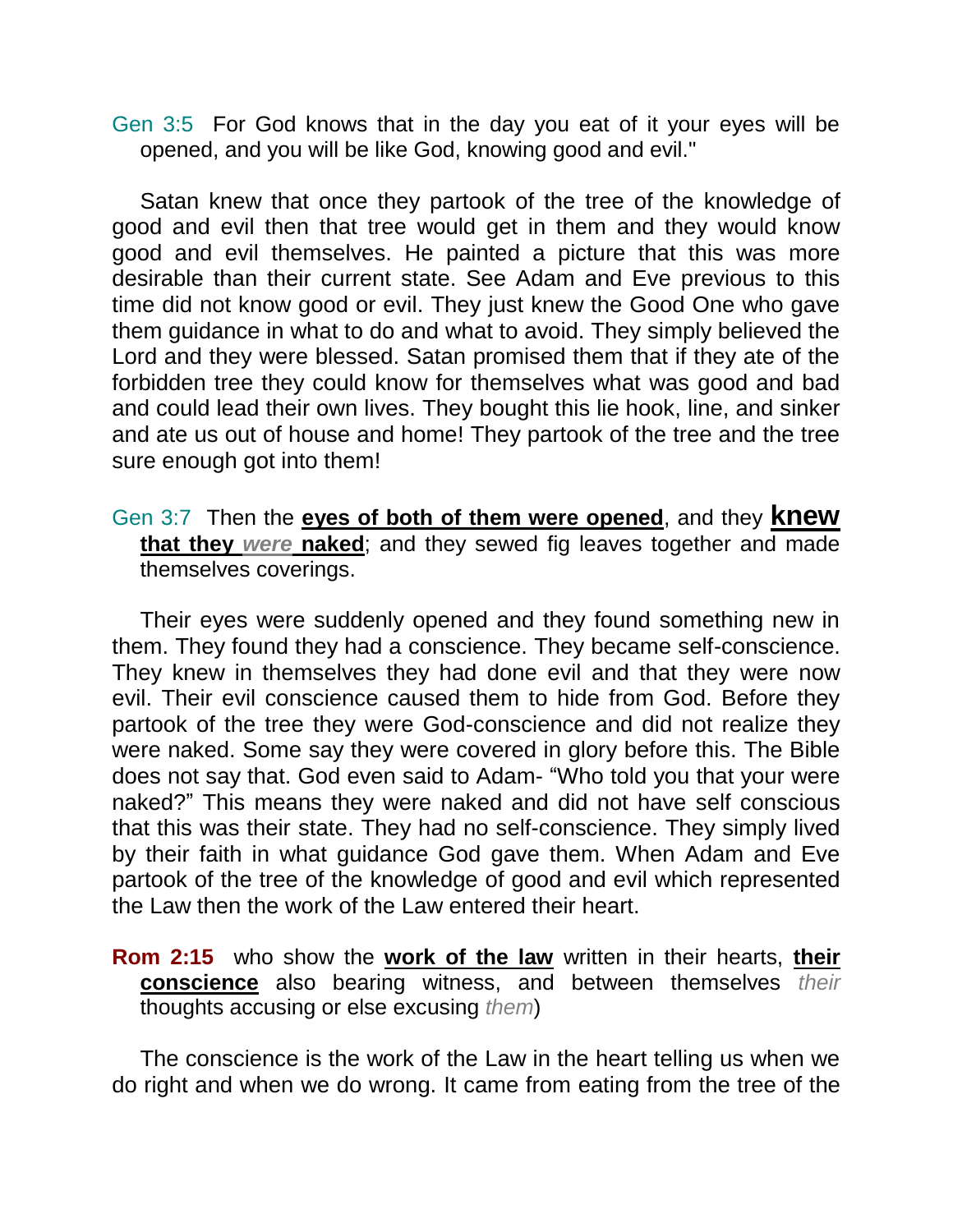Gen 3:5 For God knows that in the day you eat of it your eyes will be opened, and you will be like God, knowing good and evil."

Satan knew that once they partook of the tree of the knowledge of good and evil then that tree would get in them and they would know good and evil themselves. He painted a picture that this was more desirable than their current state. See Adam and Eve previous to this time did not know good or evil. They just knew the Good One who gave them guidance in what to do and what to avoid. They simply believed the Lord and they were blessed. Satan promised them that if they ate of the forbidden tree they could know for themselves what was good and bad and could lead their own lives. They bought this lie hook, line, and sinker and ate us out of house and home! They partook of the tree and the tree sure enough got into them!

Gen 3:7 Then the **eyes of both of them were opened**, and they **knew that they** *were* **naked**; and they sewed fig leaves together and made themselves coverings.

Their eyes were suddenly opened and they found something new in them. They found they had a conscience. They became self-conscience. They knew in themselves they had done evil and that they were now evil. Their evil conscience caused them to hide from God. Before they partook of the tree they were God-conscience and did not realize they were naked. Some say they were covered in glory before this. The Bible does not say that. God even said to Adam- "Who told you that your were naked?" This means they were naked and did not have self conscious that this was their state. They had no self-conscience. They simply lived by their faith in what guidance God gave them. When Adam and Eve partook of the tree of the knowledge of good and evil which represented the Law then the work of the Law entered their heart.

**Rom 2:15** who show the **work of the law** written in their hearts, **their conscience** also bearing witness, and between themselves *their* thoughts accusing or else excusing *them*)

The conscience is the work of the Law in the heart telling us when we do right and when we do wrong. It came from eating from the tree of the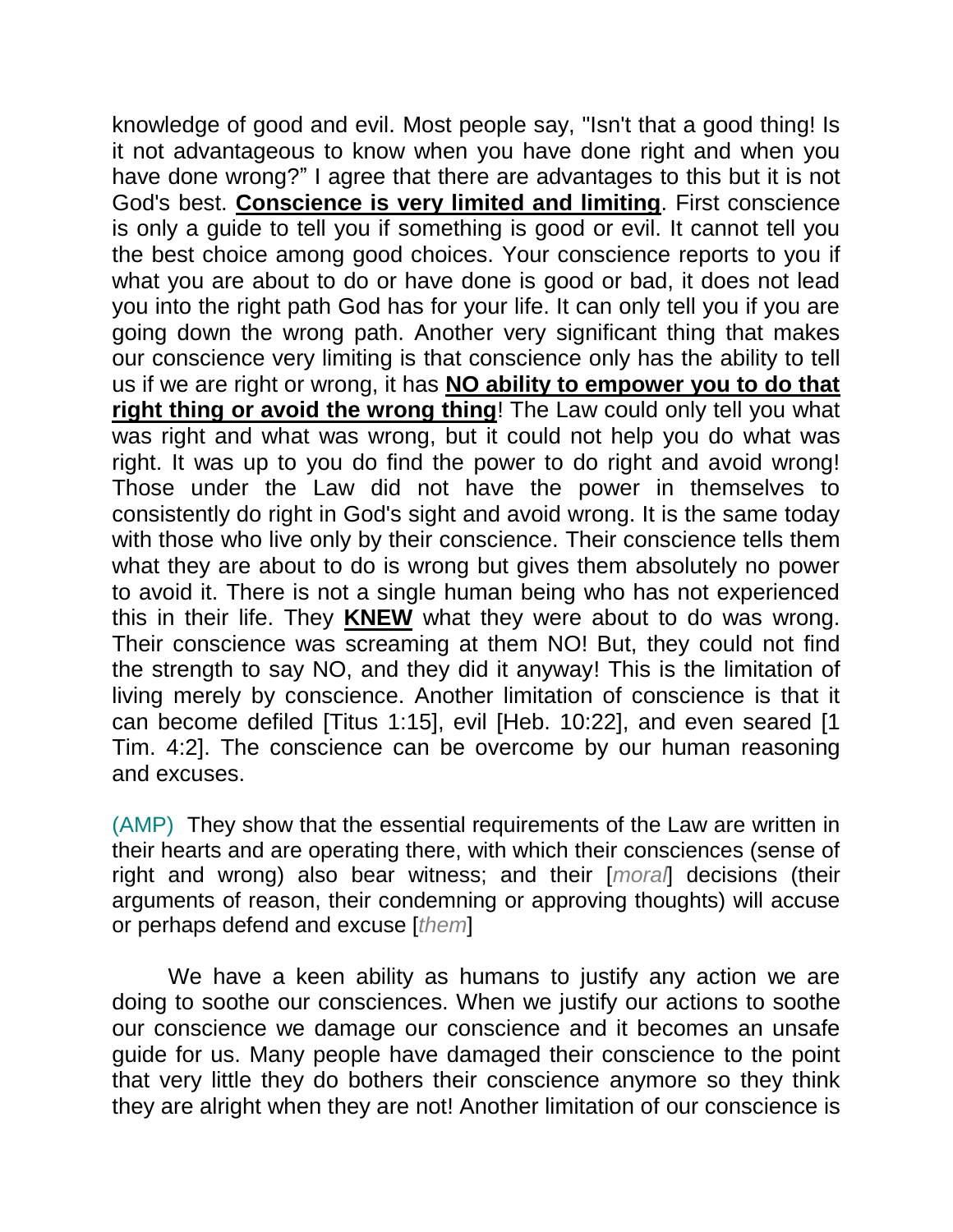knowledge of good and evil. Most people say, "Isn't that a good thing! Is it not advantageous to know when you have done right and when you have done wrong?" I agree that there are advantages to this but it is not God's best. **Conscience is very limited and limiting**. First conscience is only a guide to tell you if something is good or evil. It cannot tell you the best choice among good choices. Your conscience reports to you if what you are about to do or have done is good or bad, it does not lead you into the right path God has for your life. It can only tell you if you are going down the wrong path. Another very significant thing that makes our conscience very limiting is that conscience only has the ability to tell us if we are right or wrong, it has **NO ability to empower you to do that right thing or avoid the wrong thing**! The Law could only tell you what was right and what was wrong, but it could not help you do what was right. It was up to you do find the power to do right and avoid wrong! Those under the Law did not have the power in themselves to consistently do right in God's sight and avoid wrong. It is the same today with those who live only by their conscience. Their conscience tells them what they are about to do is wrong but gives them absolutely no power to avoid it. There is not a single human being who has not experienced this in their life. They **KNEW** what they were about to do was wrong. Their conscience was screaming at them NO! But, they could not find the strength to say NO, and they did it anyway! This is the limitation of living merely by conscience. Another limitation of conscience is that it can become defiled [Titus 1:15], evil [Heb. 10:22], and even seared [1 Tim. 4:2]. The conscience can be overcome by our human reasoning and excuses.

(AMP) They show that the essential requirements of the Law are written in their hearts and are operating there, with which their consciences (sense of right and wrong) also bear witness; and their [*moral*] decisions (their arguments of reason, their condemning or approving thoughts) will accuse or perhaps defend and excuse [*them*]

We have a keen ability as humans to justify any action we are doing to soothe our consciences. When we justify our actions to soothe our conscience we damage our conscience and it becomes an unsafe guide for us. Many people have damaged their conscience to the point that very little they do bothers their conscience anymore so they think they are alright when they are not! Another limitation of our conscience is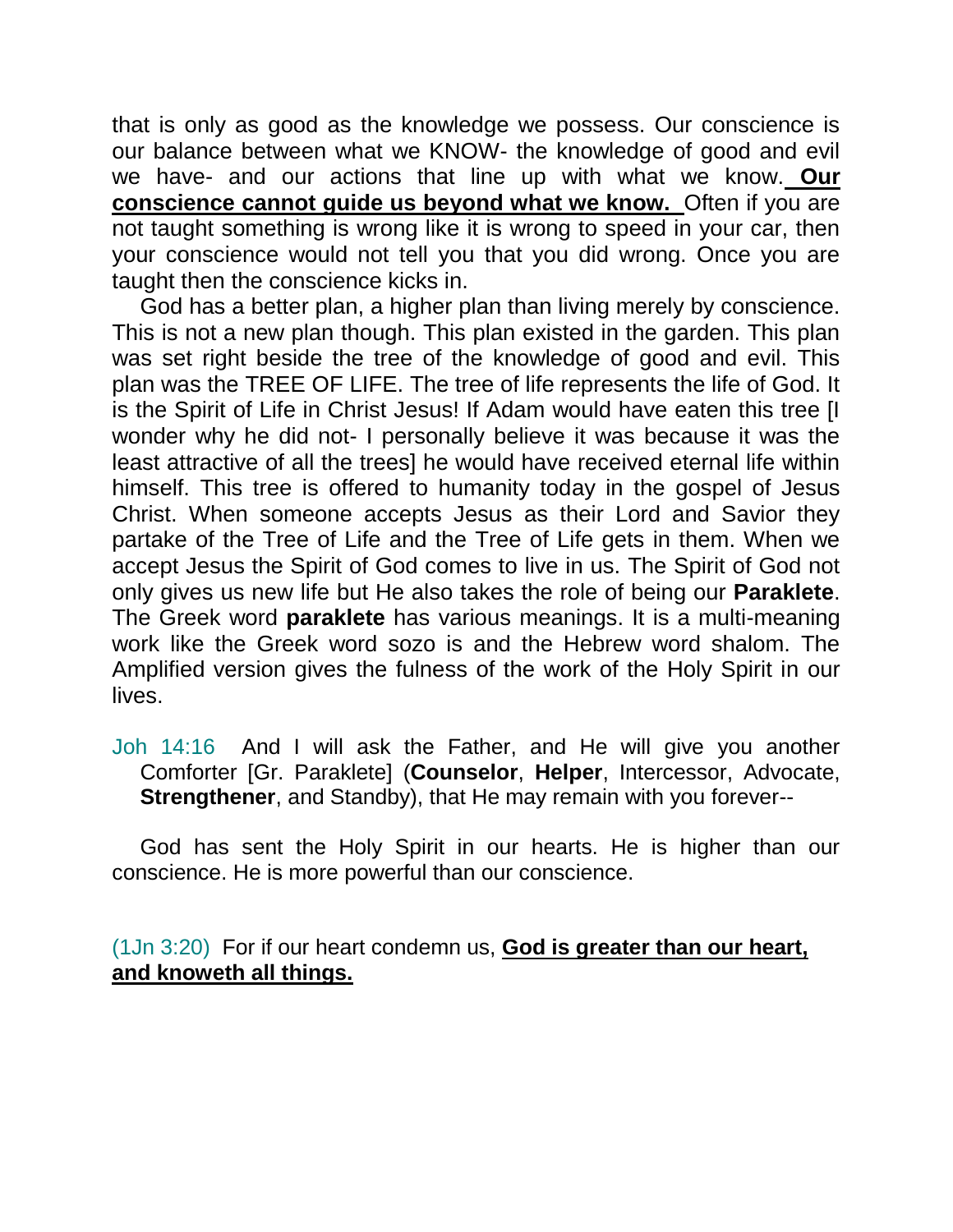that is only as good as the knowledge we possess. Our conscience is our balance between what we KNOW- the knowledge of good and evil we have- and our actions that line up with what we know. **Our conscience cannot guide us beyond what we know.** Often if you are not taught something is wrong like it is wrong to speed in your car, then your conscience would not tell you that you did wrong. Once you are taught then the conscience kicks in.

God has a better plan, a higher plan than living merely by conscience. This is not a new plan though. This plan existed in the garden. This plan was set right beside the tree of the knowledge of good and evil. This plan was the TREE OF LIFE. The tree of life represents the life of God. It is the Spirit of Life in Christ Jesus! If Adam would have eaten this tree [I wonder why he did not- I personally believe it was because it was the least attractive of all the trees] he would have received eternal life within himself. This tree is offered to humanity today in the gospel of Jesus Christ. When someone accepts Jesus as their Lord and Savior they partake of the Tree of Life and the Tree of Life gets in them. When we accept Jesus the Spirit of God comes to live in us. The Spirit of God not only gives us new life but He also takes the role of being our **Paraklete**. The Greek word **paraklete** has various meanings. It is a multi-meaning work like the Greek word sozo is and the Hebrew word shalom. The Amplified version gives the fulness of the work of the Holy Spirit in our lives.

Joh 14:16 And I will ask the Father, and He will give you another Comforter [Gr. Paraklete] (**Counselor**, **Helper**, Intercessor, Advocate, **Strengthener**, and Standby), that He may remain with you forever--

God has sent the Holy Spirit in our hearts. He is higher than our conscience. He is more powerful than our conscience.

(1Jn 3:20) For if our heart condemn us, **God is greater than our heart, and knoweth all things.**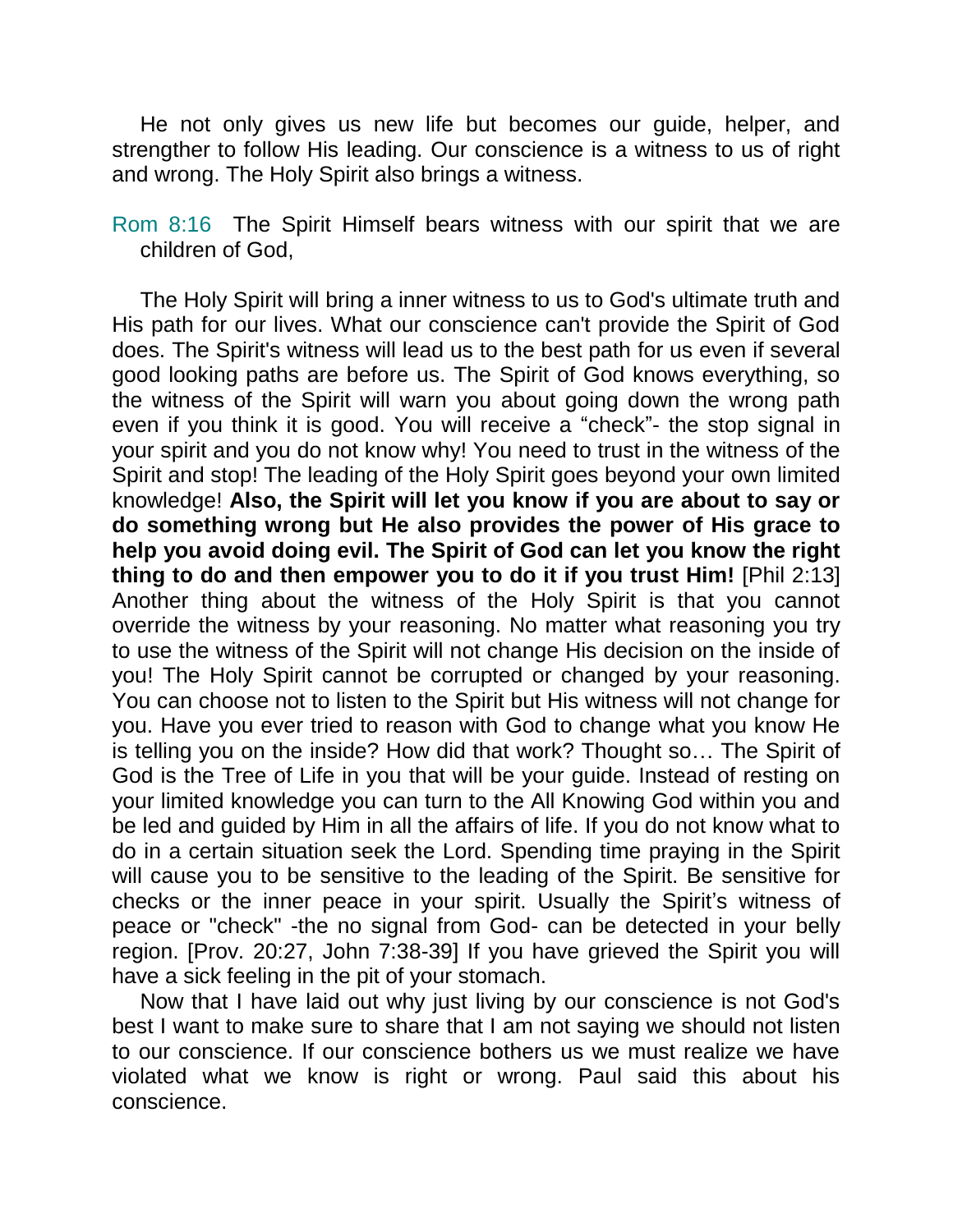He not only gives us new life but becomes our guide, helper, and strengther to follow His leading. Our conscience is a witness to us of right and wrong. The Holy Spirit also brings a witness.

Rom 8:16 The Spirit Himself bears witness with our spirit that we are children of God,

The Holy Spirit will bring a inner witness to us to God's ultimate truth and His path for our lives. What our conscience can't provide the Spirit of God does. The Spirit's witness will lead us to the best path for us even if several good looking paths are before us. The Spirit of God knows everything, so the witness of the Spirit will warn you about going down the wrong path even if you think it is good. You will receive a "check"- the stop signal in your spirit and you do not know why! You need to trust in the witness of the Spirit and stop! The leading of the Holy Spirit goes beyond your own limited knowledge! **Also, the Spirit will let you know if you are about to say or do something wrong but He also provides the power of His grace to help you avoid doing evil. The Spirit of God can let you know the right thing to do and then empower you to do it if you trust Him!** [Phil 2:13] Another thing about the witness of the Holy Spirit is that you cannot override the witness by your reasoning. No matter what reasoning you try to use the witness of the Spirit will not change His decision on the inside of you! The Holy Spirit cannot be corrupted or changed by your reasoning. You can choose not to listen to the Spirit but His witness will not change for you. Have you ever tried to reason with God to change what you know He is telling you on the inside? How did that work? Thought so… The Spirit of God is the Tree of Life in you that will be your guide. Instead of resting on your limited knowledge you can turn to the All Knowing God within you and be led and guided by Him in all the affairs of life. If you do not know what to do in a certain situation seek the Lord. Spending time praying in the Spirit will cause you to be sensitive to the leading of the Spirit. Be sensitive for checks or the inner peace in your spirit. Usually the Spirit's witness of peace or "check" -the no signal from God- can be detected in your belly region. [Prov. 20:27, John 7:38-39] If you have grieved the Spirit you will have a sick feeling in the pit of your stomach.

Now that I have laid out why just living by our conscience is not God's best I want to make sure to share that I am not saying we should not listen to our conscience. If our conscience bothers us we must realize we have violated what we know is right or wrong. Paul said this about his conscience.